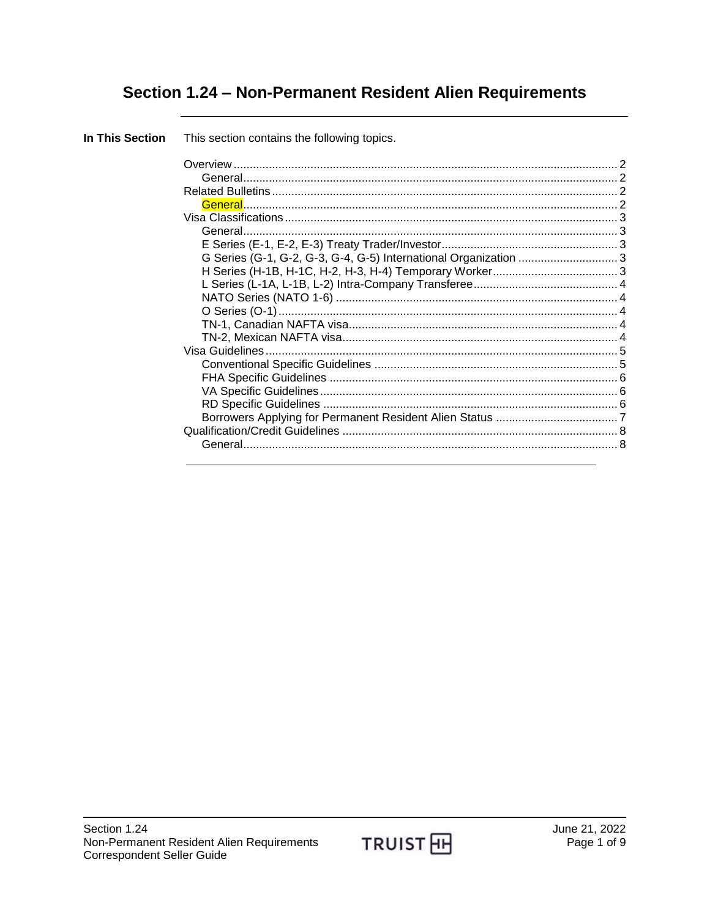# Section 1.24 - Non-Permanent Resident Alien Requirements

| In This Section | This section contains the following topics. |  |
|-----------------|---------------------------------------------|--|
|                 |                                             |  |
|                 |                                             |  |
|                 |                                             |  |
|                 |                                             |  |
|                 |                                             |  |
|                 |                                             |  |
|                 |                                             |  |
|                 |                                             |  |
|                 |                                             |  |
|                 |                                             |  |
|                 |                                             |  |
|                 |                                             |  |
|                 |                                             |  |
|                 |                                             |  |
|                 |                                             |  |
|                 |                                             |  |
|                 |                                             |  |
|                 |                                             |  |
|                 |                                             |  |
|                 |                                             |  |
|                 |                                             |  |
|                 |                                             |  |
|                 |                                             |  |

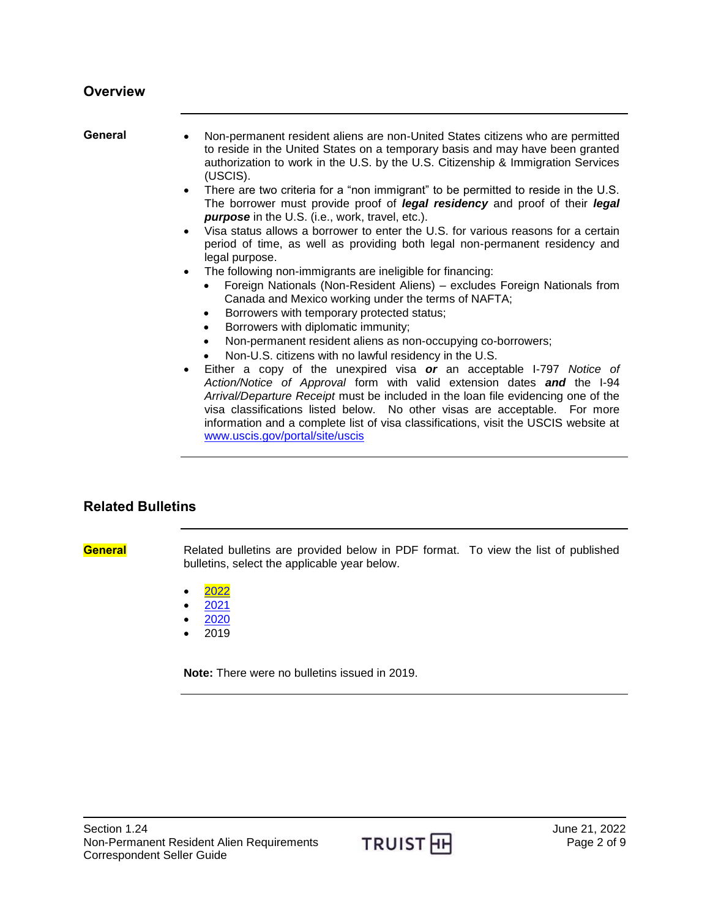#### <span id="page-1-0"></span>**Overview**

<span id="page-1-1"></span>

| General | Non-permanent resident aliens are non-United States citizens who are permitted<br>to reside in the United States on a temporary basis and may have been granted<br>authorization to work in the U.S. by the U.S. Citizenship & Immigration Services<br>(USCIS).                                                                                                                                                                                          |
|---------|----------------------------------------------------------------------------------------------------------------------------------------------------------------------------------------------------------------------------------------------------------------------------------------------------------------------------------------------------------------------------------------------------------------------------------------------------------|
|         | • There are two criteria for a "non immigrant" to be permitted to reside in the U.S.<br>The borrower must provide proof of <i>legal residency</i> and proof of their <i>legal</i><br>purpose in the U.S. (i.e., work, travel, etc.).                                                                                                                                                                                                                     |
|         | Visa status allows a borrower to enter the U.S. for various reasons for a certain<br>$\bullet$<br>period of time, as well as providing both legal non-permanent residency and<br>legal purpose.                                                                                                                                                                                                                                                          |
|         | The following non-immigrants are ineligible for financing:<br>$\bullet$<br>Foreign Nationals (Non-Resident Aliens) – excludes Foreign Nationals from<br>Canada and Mexico working under the terms of NAFTA;<br>Borrowers with temporary protected status;<br>Borrowers with diplomatic immunity;<br>$\bullet$                                                                                                                                            |
|         | Non-permanent resident aliens as non-occupying co-borrowers;<br>$\bullet$<br>Non-U.S. citizens with no lawful residency in the U.S.                                                                                                                                                                                                                                                                                                                      |
|         | Either a copy of the unexpired visa or an acceptable I-797 Notice of<br>$\bullet$<br>Action/Notice of Approval form with valid extension dates and the I-94<br>Arrival/Departure Receipt must be included in the loan file evidencing one of the<br>visa classifications listed below. No other visas are acceptable. For more<br>information and a complete list of visa classifications, visit the USCIS website at<br>www.uscis.gov/portal/site/uscis |

#### <span id="page-1-2"></span>**Related Bulletins**

<span id="page-1-3"></span>**General** Related bulletins are provided below in PDF format. To view the list of published bulletins, select the applicable year below.

- [2022](http://www.truistsellerguide.com/manual/cor/bulletins/Related%20Bulletins/2022/CNonPerm2022.pdf)
- $2021$  $2021$
- $2020$  $2020$
- $2019$

**Note:** There were no bulletins issued in 2019.

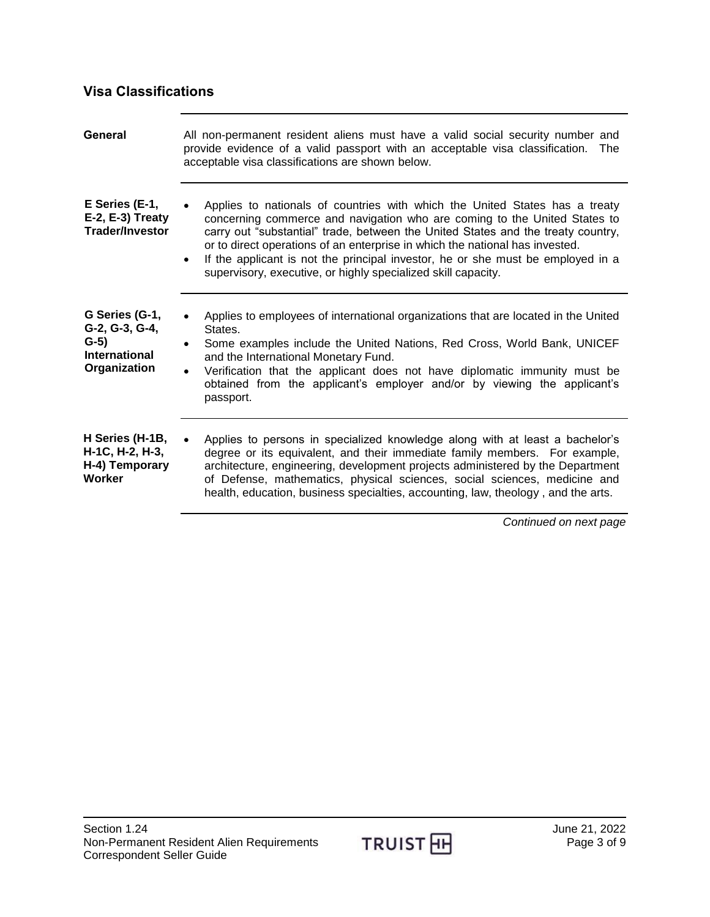### <span id="page-2-0"></span>**Visa Classifications**

<span id="page-2-4"></span><span id="page-2-3"></span><span id="page-2-2"></span><span id="page-2-1"></span>

| Applies to nationals of countries with which the United States has a treaty<br>concerning commerce and navigation who are coming to the United States to<br>carry out "substantial" trade, between the United States and the treaty country,<br>or to direct operations of an enterprise in which the national has invested.<br>If the applicant is not the principal investor, he or she must be employed in a<br>supervisory, executive, or highly specialized skill capacity. |
|----------------------------------------------------------------------------------------------------------------------------------------------------------------------------------------------------------------------------------------------------------------------------------------------------------------------------------------------------------------------------------------------------------------------------------------------------------------------------------|
|                                                                                                                                                                                                                                                                                                                                                                                                                                                                                  |
| Applies to employees of international organizations that are located in the United<br>States.<br>Some examples include the United Nations, Red Cross, World Bank, UNICEF<br>and the International Monetary Fund.<br>Verification that the applicant does not have diplomatic immunity must be<br>obtained from the applicant's employer and/or by viewing the applicant's<br>passport.                                                                                           |
| Applies to persons in specialized knowledge along with at least a bachelor's<br>degree or its equivalent, and their immediate family members. For example,<br>architecture, engineering, development projects administered by the Department<br>of Defense, mathematics, physical sciences, social sciences, medicine and                                                                                                                                                        |
|                                                                                                                                                                                                                                                                                                                                                                                                                                                                                  |

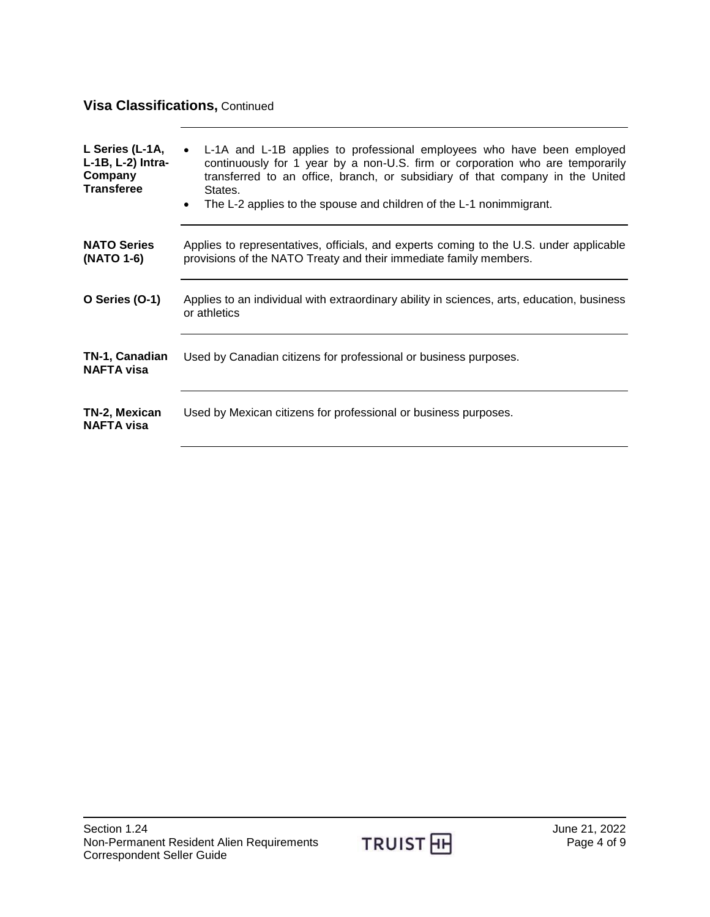## **Visa Classifications,** Continued

<span id="page-3-4"></span><span id="page-3-3"></span><span id="page-3-2"></span><span id="page-3-1"></span><span id="page-3-0"></span>

| L Series (L-1A,<br>L-1B, L-2) Intra-<br>Company<br><b>Transferee</b> | L-1A and L-1B applies to professional employees who have been employed<br>continuously for 1 year by a non-U.S. firm or corporation who are temporarily<br>transferred to an office, branch, or subsidiary of that company in the United<br>States.<br>The L-2 applies to the spouse and children of the L-1 nonimmigrant.<br>$\bullet$ |
|----------------------------------------------------------------------|-----------------------------------------------------------------------------------------------------------------------------------------------------------------------------------------------------------------------------------------------------------------------------------------------------------------------------------------|
| <b>NATO Series</b><br>(NATO 1-6)                                     | Applies to representatives, officials, and experts coming to the U.S. under applicable<br>provisions of the NATO Treaty and their immediate family members.                                                                                                                                                                             |
| O Series (O-1)                                                       | Applies to an individual with extraordinary ability in sciences, arts, education, business<br>or athletics                                                                                                                                                                                                                              |
| TN-1, Canadian<br><b>NAFTA visa</b>                                  | Used by Canadian citizens for professional or business purposes.                                                                                                                                                                                                                                                                        |
| TN-2, Mexican<br><b>NAFTA visa</b>                                   | Used by Mexican citizens for professional or business purposes.                                                                                                                                                                                                                                                                         |

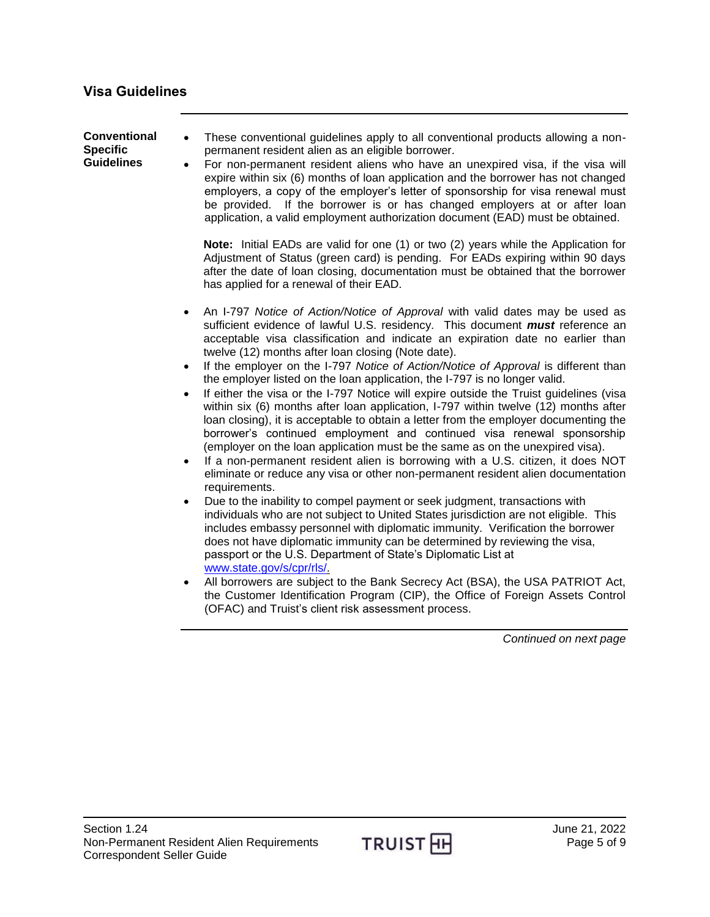<span id="page-4-1"></span><span id="page-4-0"></span>

| <b>Conventional</b><br><b>Specific</b><br><b>Guidelines</b> | These conventional guidelines apply to all conventional products allowing a non-<br>$\bullet$<br>permanent resident alien as an eligible borrower.<br>For non-permanent resident aliens who have an unexpired visa, if the visa will<br>$\bullet$<br>expire within six (6) months of loan application and the borrower has not changed<br>employers, a copy of the employer's letter of sponsorship for visa renewal must<br>be provided. If the borrower is or has changed employers at or after loan<br>application, a valid employment authorization document (EAD) must be obtained.                                                                                                                                                                                                                                                                                                                                                                                                                                                                                                                                                                                                                                                                                                                                                                                                                                                                                                                                                                                                                                                                                                                                                                                                                                                                 |
|-------------------------------------------------------------|----------------------------------------------------------------------------------------------------------------------------------------------------------------------------------------------------------------------------------------------------------------------------------------------------------------------------------------------------------------------------------------------------------------------------------------------------------------------------------------------------------------------------------------------------------------------------------------------------------------------------------------------------------------------------------------------------------------------------------------------------------------------------------------------------------------------------------------------------------------------------------------------------------------------------------------------------------------------------------------------------------------------------------------------------------------------------------------------------------------------------------------------------------------------------------------------------------------------------------------------------------------------------------------------------------------------------------------------------------------------------------------------------------------------------------------------------------------------------------------------------------------------------------------------------------------------------------------------------------------------------------------------------------------------------------------------------------------------------------------------------------------------------------------------------------------------------------------------------------|
|                                                             | Note: Initial EADs are valid for one (1) or two (2) years while the Application for<br>Adjustment of Status (green card) is pending. For EADs expiring within 90 days<br>after the date of loan closing, documentation must be obtained that the borrower<br>has applied for a renewal of their EAD.                                                                                                                                                                                                                                                                                                                                                                                                                                                                                                                                                                                                                                                                                                                                                                                                                                                                                                                                                                                                                                                                                                                                                                                                                                                                                                                                                                                                                                                                                                                                                     |
|                                                             | An I-797 Notice of Action/Notice of Approval with valid dates may be used as<br>$\bullet$<br>sufficient evidence of lawful U.S. residency. This document <i>must</i> reference an<br>acceptable visa classification and indicate an expiration date no earlier than<br>twelve (12) months after loan closing (Note date).<br>If the employer on the I-797 Notice of Action/Notice of Approval is different than<br>$\bullet$<br>the employer listed on the loan application, the I-797 is no longer valid.<br>If either the visa or the I-797 Notice will expire outside the Truist guidelines (visa<br>$\bullet$<br>within six (6) months after loan application, I-797 within twelve (12) months after<br>loan closing), it is acceptable to obtain a letter from the employer documenting the<br>borrower's continued employment and continued visa renewal sponsorship<br>(employer on the loan application must be the same as on the unexpired visa).<br>If a non-permanent resident alien is borrowing with a U.S. citizen, it does NOT<br>$\bullet$<br>eliminate or reduce any visa or other non-permanent resident alien documentation<br>requirements.<br>Due to the inability to compel payment or seek judgment, transactions with<br>$\bullet$<br>individuals who are not subject to United States jurisdiction are not eligible. This<br>includes embassy personnel with diplomatic immunity. Verification the borrower<br>does not have diplomatic immunity can be determined by reviewing the visa,<br>passport or the U.S. Department of State's Diplomatic List at<br>www.state.gov/s/cpr/rls/<br>All borrowers are subject to the Bank Secrecy Act (BSA), the USA PATRIOT Act,<br>$\bullet$<br>the Customer Identification Program (CIP), the Office of Foreign Assets Control<br>(OFAC) and Truist's client risk assessment process. |

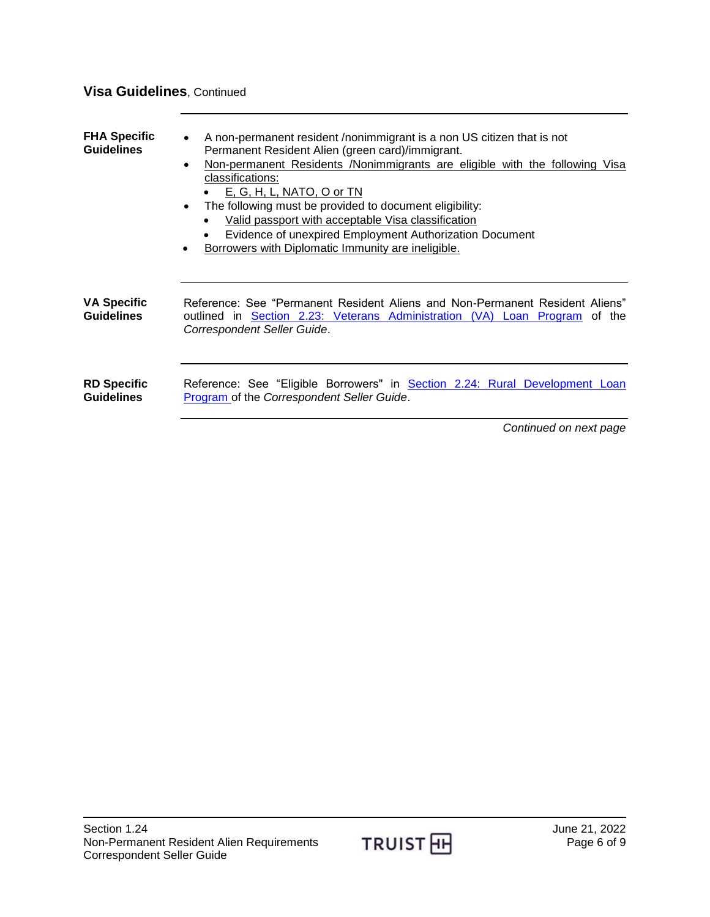### **Visa Guidelines**, Continued

<span id="page-5-2"></span><span id="page-5-1"></span><span id="page-5-0"></span>

| <b>FHA Specific</b><br><b>Guidelines</b> | A non-permanent resident /nonimmigrant is a non US citizen that is not<br>Permanent Resident Alien (green card)/immigrant.<br>Non-permanent Residents /Nonimmigrants are eligible with the following Visa<br>$\bullet$<br>classifications:<br><u>E, G, H, L, NATO, O or TN</u><br>The following must be provided to document eligibility:<br>$\bullet$<br>Valid passport with acceptable Visa classification<br>Evidence of unexpired Employment Authorization Document<br>Borrowers with Diplomatic Immunity are ineligible. |
|------------------------------------------|-------------------------------------------------------------------------------------------------------------------------------------------------------------------------------------------------------------------------------------------------------------------------------------------------------------------------------------------------------------------------------------------------------------------------------------------------------------------------------------------------------------------------------|
| <b>VA Specific</b><br><b>Guidelines</b>  | Reference: See "Permanent Resident Aliens and Non-Permanent Resident Aliens"<br>outlined in Section 2.23: Veterans Administration (VA) Loan Program of the<br>Correspondent Seller Guide.                                                                                                                                                                                                                                                                                                                                     |
| <b>RD Specific</b><br><b>Guidelines</b>  | Reference: See "Eligible Borrowers" in Section 2.24: Rural Development Loan<br>Program of the Correspondent Seller Guide.                                                                                                                                                                                                                                                                                                                                                                                                     |

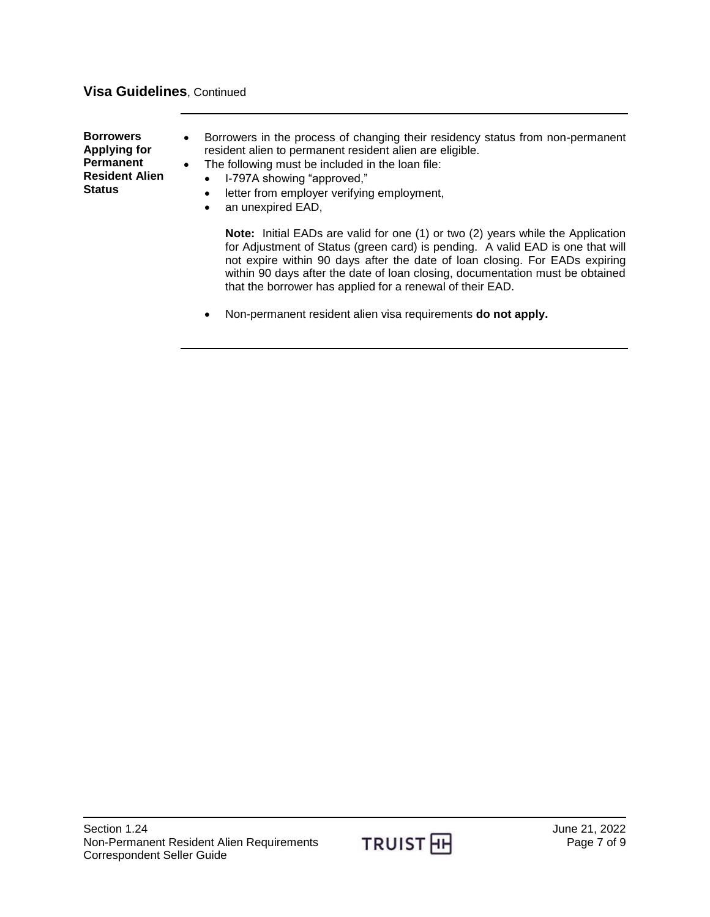#### **Visa Guidelines**, Continued

<span id="page-6-0"></span>**Borrowers Applying for Permanent Resident Alien Status**

- Borrowers in the process of changing their residency status from non-permanent resident alien to permanent resident alien are eligible.
- The following must be included in the loan file:
	- I-797A showing "approved,"
	- letter from employer verifying employment,
	- an unexpired EAD,

**Note:** Initial EADs are valid for one (1) or two (2) years while the Application for Adjustment of Status (green card) is pending. A valid EAD is one that will not expire within 90 days after the date of loan closing. For EADs expiring within 90 days after the date of loan closing, documentation must be obtained that the borrower has applied for a renewal of their EAD.

Non-permanent resident alien visa requirements **do not apply.**

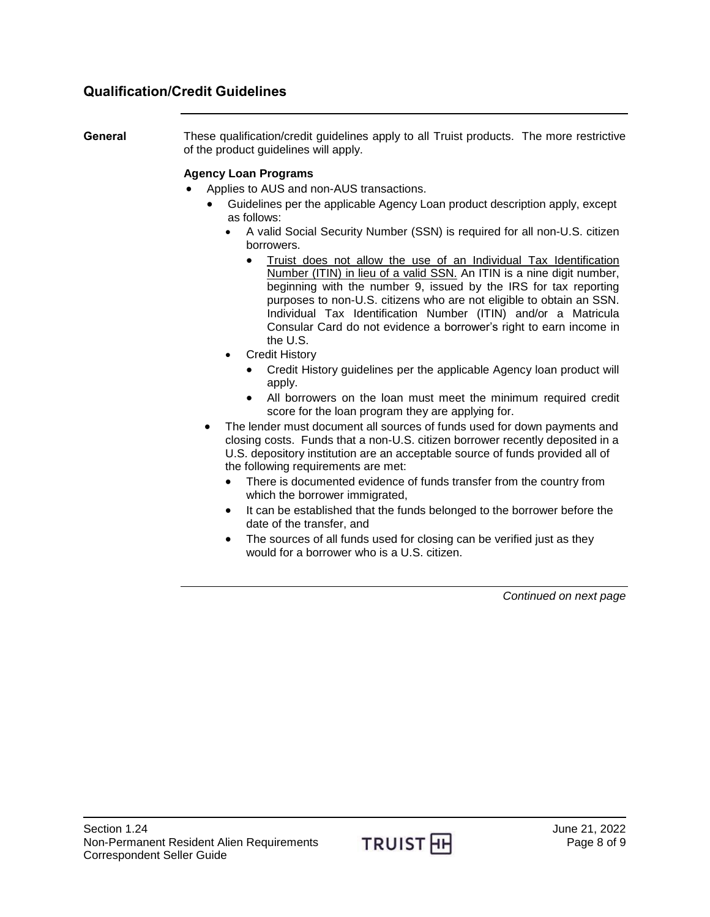#### <span id="page-7-0"></span>**Qualification/Credit Guidelines**

<span id="page-7-1"></span>**General** These qualification/credit guidelines apply to all Truist products. The more restrictive of the product guidelines will apply.

#### **Agency Loan Programs**

- Applies to AUS and non-AUS transactions.
	- Guidelines per the applicable Agency Loan product description apply, except as follows:
		- A valid Social Security Number (SSN) is required for all non-U.S. citizen borrowers.
			- Truist does not allow the use of an Individual Tax Identification Number (ITIN) in lieu of a valid SSN. An ITIN is a nine digit number, beginning with the number 9, issued by the IRS for tax reporting purposes to non-U.S. citizens who are not eligible to obtain an SSN. Individual Tax Identification Number (ITIN) and/or a Matricula Consular Card do not evidence a borrower's right to earn income in the U.S.
		- Credit History
			- Credit History guidelines per the applicable Agency loan product will apply.
			- All borrowers on the loan must meet the minimum required credit score for the loan program they are applying for.
	- The lender must document all sources of funds used for down payments and closing costs. Funds that a non-U.S. citizen borrower recently deposited in a U.S. depository institution are an acceptable source of funds provided all of the following requirements are met:
		- There is documented evidence of funds transfer from the country from which the borrower immigrated,
		- It can be established that the funds belonged to the borrower before the date of the transfer, and
		- The sources of all funds used for closing can be verified just as they would for a borrower who is a U.S. citizen.